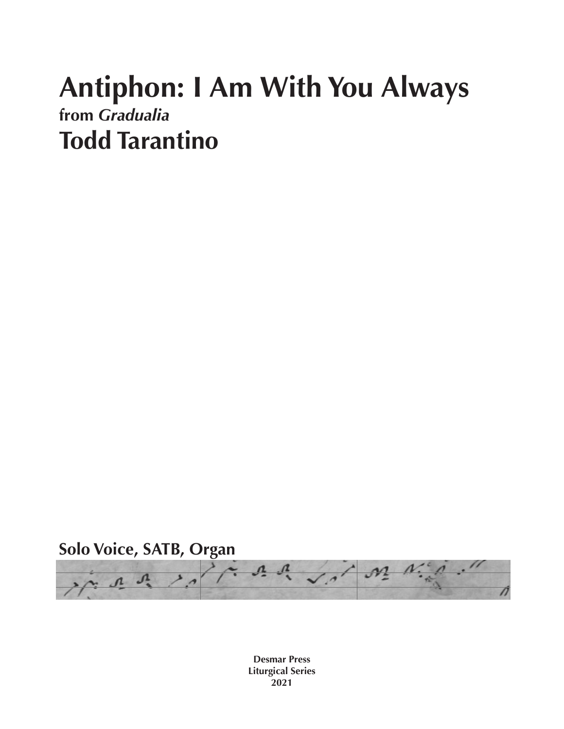## **Antiphon: I Am With You Always from** *Gradualia* **Todd Tarantino**



**Desmar Press Liturgical Series 2021**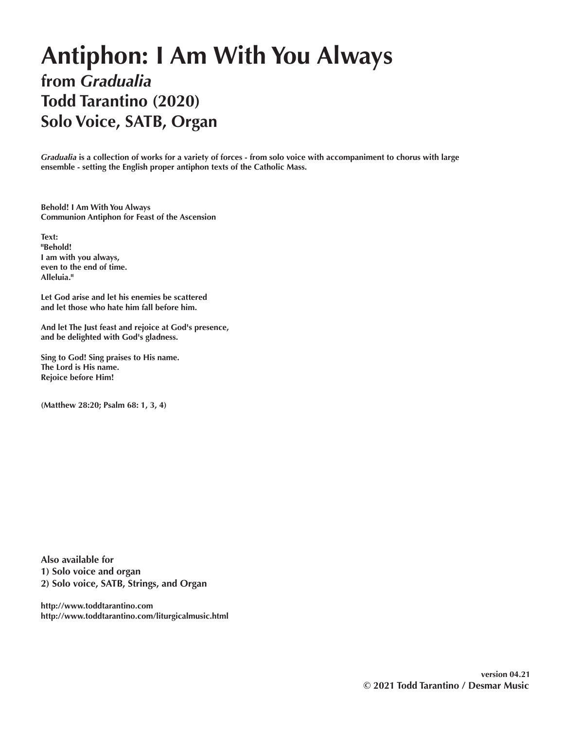## **Antiphon: I Am With You Always from** *Gradualia* **Todd Tarantino (2020) Solo Voice, SATB, Organ**

*Gradualia* **is a collection of works for a variety of forces - from solo voice with accompaniment to chorus with large ensemble - setting the English proper antiphon texts of the Catholic Mass.** 

**Behold! I Am With You Always Communion Antiphon for Feast of the Ascension**

**Text: "Behold! I am with you always, even to the end of time. Alleluia."**

**Let God arise and let his enemies be scattered and let those who hate him fall before him.**

**And let The Just feast and rejoice at God's presence, and be delighted with God's gladness.**

**Sing to God! Sing praises to His name. The Lord is His name. Rejoice before Him!**

**(Matthew 28:20; Psalm 68: 1, 3, 4)**

**Also available for 1) Solo voice and organ 2) Solo voice, SATB, Strings, and Organ**

**http://www.toddtarantino.com http://www.toddtarantino.com/liturgicalmusic.html**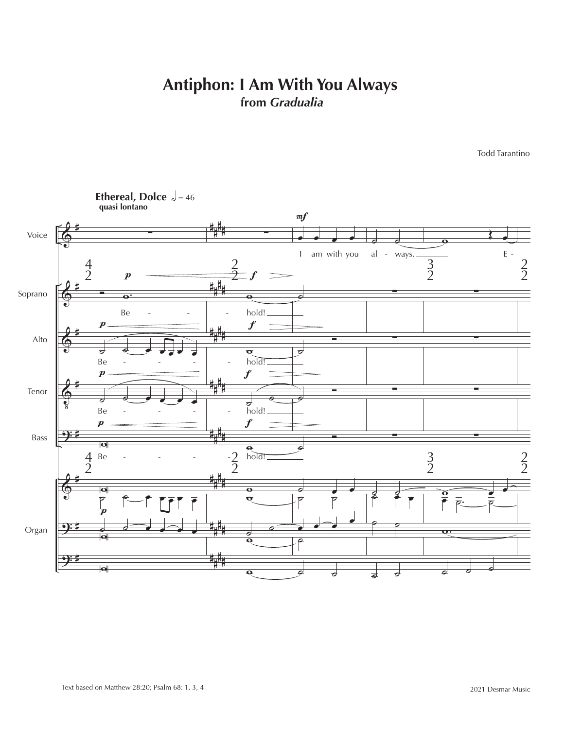## **Antiphon: I Am With You Always from** *Gradualia*

Todd Tarantino